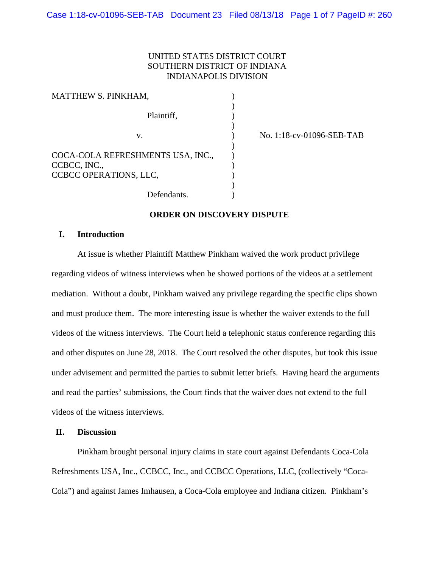# UNITED STATES DISTRICT COURT SOUTHERN DISTRICT OF INDIANA INDIANAPOLIS DIVISION

| MATTHEW S. PINKHAM,                                                         |  |
|-----------------------------------------------------------------------------|--|
| Plaintiff,                                                                  |  |
| V.                                                                          |  |
| COCA-COLA REFRESHMENTS USA, INC.,<br>CCBCC, INC.,<br>CCBCC OPERATIONS, LLC, |  |
| Defendants.                                                                 |  |

) No. 1:18-cv-01096-SEB-TAB

#### **ORDER ON DISCOVERY DISPUTE**

# **I. Introduction**

At issue is whether Plaintiff Matthew Pinkham waived the work product privilege regarding videos of witness interviews when he showed portions of the videos at a settlement mediation. Without a doubt, Pinkham waived any privilege regarding the specific clips shown and must produce them. The more interesting issue is whether the waiver extends to the full videos of the witness interviews. The Court held a telephonic status conference regarding this and other disputes on June 28, 2018. The Court resolved the other disputes, but took this issue under advisement and permitted the parties to submit letter briefs. Having heard the arguments and read the parties' submissions, the Court finds that the waiver does not extend to the full videos of the witness interviews.

#### **II. Discussion**

Pinkham brought personal injury claims in state court against Defendants Coca-Cola Refreshments USA, Inc., CCBCC, Inc., and CCBCC Operations, LLC, (collectively "Coca-Cola") and against James Imhausen, a Coca-Cola employee and Indiana citizen. Pinkham's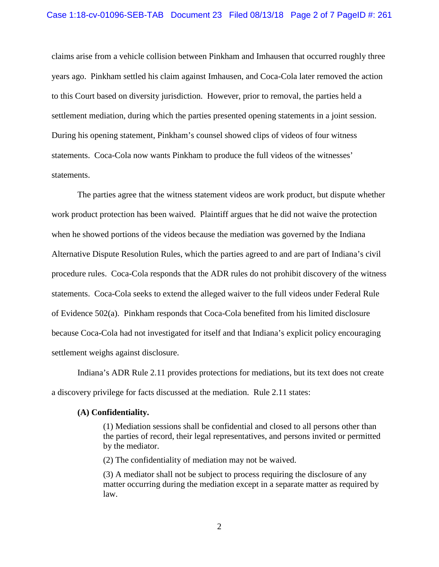## Case 1:18-cv-01096-SEB-TAB Document 23 Filed 08/13/18 Page 2 of 7 PageID #: 261

claims arise from a vehicle collision between Pinkham and Imhausen that occurred roughly three years ago. Pinkham settled his claim against Imhausen, and Coca-Cola later removed the action to this Court based on diversity jurisdiction. However, prior to removal, the parties held a settlement mediation, during which the parties presented opening statements in a joint session. During his opening statement, Pinkham's counsel showed clips of videos of four witness statements. Coca-Cola now wants Pinkham to produce the full videos of the witnesses' statements.

The parties agree that the witness statement videos are work product, but dispute whether work product protection has been waived. Plaintiff argues that he did not waive the protection when he showed portions of the videos because the mediation was governed by the Indiana Alternative Dispute Resolution Rules, which the parties agreed to and are part of Indiana's civil procedure rules. Coca-Cola responds that the ADR rules do not prohibit discovery of the witness statements. Coca-Cola seeks to extend the alleged waiver to the full videos under Federal Rule of Evidence 502(a). Pinkham responds that Coca-Cola benefited from his limited disclosure because Coca-Cola had not investigated for itself and that Indiana's explicit policy encouraging settlement weighs against disclosure.

Indiana's ADR Rule 2.11 provides protections for mediations, but its text does not create a discovery privilege for facts discussed at the mediation. Rule 2.11 states:

#### **(A) Confidentiality.**

(1) Mediation sessions shall be confidential and closed to all persons other than the parties of record, their legal representatives, and persons invited or permitted by the mediator.

(2) The confidentiality of mediation may not be waived.

(3) A mediator shall not be subject to process requiring the disclosure of any matter occurring during the mediation except in a separate matter as required by law.

2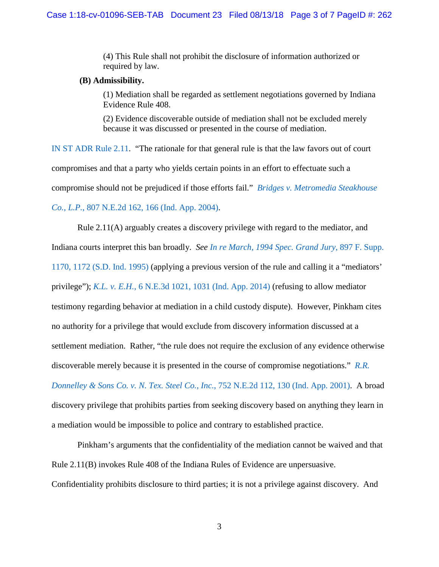(4) This Rule shall not prohibit the disclosure of information authorized or required by law.

## **(B) Admissibility.**

(1) Mediation shall be regarded as settlement negotiations governed by Indiana Evidence Rule 408.

(2) Evidence discoverable outside of mediation shall not be excluded merely because it was discussed or presented in the course of mediation.

[IN ST ADR Rule 2.11.](https://www.westlaw.com/Document/N76BDD110B6EC11DB8050D108B1AFD816/View/FullText.html?transitionType=Default&contextData=(sc.Default)&VR=3.0&RS=da3.0) "The rationale for that general rule is that the law favors out of court compromises and that a party who yields certain points in an effort to effectuate such a compromise should not be prejudiced if those efforts fail." *[Bridges v. Metromedia Steakhouse](https://www.westlaw.com/Document/I3e6f5998d44f11d983e7e9deff98dc6f/View/FullText.html?transitionType=Default&contextData=(sc.Default)&VR=3.0&RS=da3.0&fragmentIdentifier=co_pp_sp_578_166)  Co., L.P.*[, 807 N.E.2d 162, 166 \(Ind. App. 2004\).](https://www.westlaw.com/Document/I3e6f5998d44f11d983e7e9deff98dc6f/View/FullText.html?transitionType=Default&contextData=(sc.Default)&VR=3.0&RS=da3.0&fragmentIdentifier=co_pp_sp_578_166)

Rule 2.11(A) arguably creates a discovery privilege with regard to the mediator, and Indiana courts interpret this ban broadly. *See [In re March, 1994 Spec. Grand Jury](https://www.westlaw.com/Document/Id39a82e9563e11d997e0acd5cbb90d3f/View/FullText.html?transitionType=Default&contextData=(sc.Default)&VR=3.0&RS=da3.0&fragmentIdentifier=co_pp_sp_345_1172)*, 897 F. Supp. [1170, 1172 \(S.D. Ind. 1995\)](https://www.westlaw.com/Document/Id39a82e9563e11d997e0acd5cbb90d3f/View/FullText.html?transitionType=Default&contextData=(sc.Default)&VR=3.0&RS=da3.0&fragmentIdentifier=co_pp_sp_345_1172) (applying a previous version of the rule and calling it a "mediators' privilege"); *K.L. v. E.H.*[, 6 N.E.3d 1021, 1031 \(Ind. App. 2014\)](https://1.next.westlaw.com/Document/I39282e9ac07811e3b58f910794d4f75e/View/FullText.html?transitionType=UniqueDocItem&contextData=(sc.RelatedInfo)&userEnteredCitation=6+N.E.3d+1031#co_pp_sp_7902_1031) (refusing to allow mediator testimony regarding behavior at mediation in a child custody dispute). However, Pinkham cites no authority for a privilege that would exclude from discovery information discussed at a settlement mediation. Rather, "the rule does not require the exclusion of any evidence otherwise discoverable merely because it is presented in the course of compromise negotiations." *[R.R.](https://www.westlaw.com/Document/Ia7849a94d39a11d99439b076ef9ec4de/View/FullText.html?transitionType=Default&contextData=(sc.Default)&VR=3.0&RS=da3.0&fragmentIdentifier=co_pp_sp_578_130)  [Donnelley & Sons Co. v. N. Tex.](https://www.westlaw.com/Document/Ia7849a94d39a11d99439b076ef9ec4de/View/FullText.html?transitionType=Default&contextData=(sc.Default)&VR=3.0&RS=da3.0&fragmentIdentifier=co_pp_sp_578_130) Steel Co., Inc.*, 752 N.E.2d 112, 130 (Ind. App. 2001). A broad discovery privilege that prohibits parties from seeking discovery based on anything they learn in a mediation would be impossible to police and contrary to established practice.

Pinkham's arguments that the confidentiality of the mediation cannot be waived and that Rule 2.11(B) invokes Rule 408 of the Indiana Rules of Evidence are unpersuasive. Confidentiality prohibits disclosure to third parties; it is not a privilege against discovery. And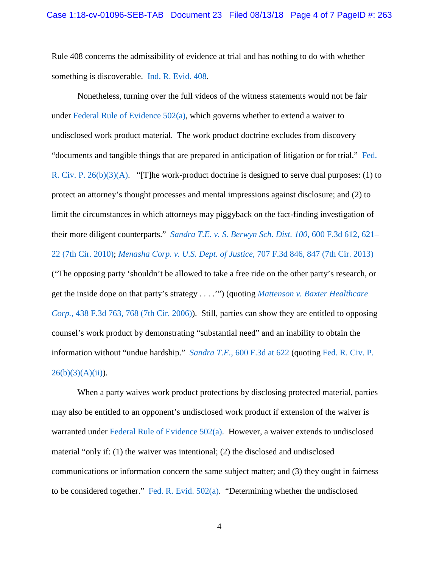Rule 408 concerns the admissibility of evidence at trial and has nothing to do with whether something is discoverable. [Ind. R. Evid. 408.](https://1.next.westlaw.com/Document/N86B0C370B6EC11DB8050D108B1AFD816/View/FullText.html?originationContext=documenttoc&transitionType=CategoryPageItem&contextData=(sc.Default))

Nonetheless, turning over the full videos of the witness statements would not be fair under Federal Rule of Evidence  $502(a)$ , which governs whether to extend a waiver to undisclosed work product material. The work product doctrine excludes from discovery "documents and tangible things that are prepared in anticipation of litigation or for trial." [Fed.](https://www.westlaw.com/Document/NCBF83860B96411D8983DF34406B5929B/View/FullText.html?transitionType=Default&contextData=(sc.Default)&VR=3.0&RS=da3.0)  [R. Civ. P. 26\(b\)\(3\)\(A\).](https://www.westlaw.com/Document/NCBF83860B96411D8983DF34406B5929B/View/FullText.html?transitionType=Default&contextData=(sc.Default)&VR=3.0&RS=da3.0) "[T]he work-product doctrine is designed to serve dual purposes: (1) to protect an attorney's thought processes and mental impressions against disclosure; and (2) to limit the circumstances in which attorneys may piggyback on the fact-finding investigation of their more diligent counterparts." *[Sandra T.E. v. S. Berwyn Sch. Dist. 100](https://www.westlaw.com/Document/Ic9cb94283bd111df8bf6cd8525c41437/View/FullText.html?transitionType=Default&contextData=(sc.Default)&VR=3.0&RS=da3.0&fragmentIdentifier=co_pp_sp_506_621)*, 600 F.3d 612, 621– [22 \(7th Cir. 2010\);](https://www.westlaw.com/Document/Ic9cb94283bd111df8bf6cd8525c41437/View/FullText.html?transitionType=Default&contextData=(sc.Default)&VR=3.0&RS=da3.0&fragmentIdentifier=co_pp_sp_506_621) *[Menasha Corp. v. U.S. Dept. of Justice](https://www.westlaw.com/Document/I20bf54ab7b7b11e2bae89fc449e7cd17/View/FullText.html?transitionType=Default&contextData=(sc.Default)&VR=3.0&RS=da3.0&fragmentIdentifier=co_pp_sp_506_847)*, 707 F.3d 846, 847 (7th Cir. 2013) ("The opposing party 'shouldn't be allowed to take a free ride on the other party's research, or get the inside dope on that party's strategy . . . .'") (quoting *[Mattenson v. Baxter Healthcare](https://www.westlaw.com/Document/I9a35585aa2f711da8ccbb4c14e983401/View/FullText.html?transitionType=Default&contextData=(sc.Default)&VR=3.0&RS=da3.0&fragmentIdentifier=co_pp_sp_506_768)  Corp.*[, 438 F.3d 763, 768 \(7th Cir. 2006\)\)](https://www.westlaw.com/Document/I9a35585aa2f711da8ccbb4c14e983401/View/FullText.html?transitionType=Default&contextData=(sc.Default)&VR=3.0&RS=da3.0&fragmentIdentifier=co_pp_sp_506_768). Still, parties can show they are entitled to opposing counsel's work product by demonstrating "substantial need" and an inability to obtain the information without "undue hardship." *Sandra T.E.*[, 600 F.3d at 622](https://www.westlaw.com/Document/Ic9cb94283bd111df8bf6cd8525c41437/View/FullText.html?transitionType=Default&contextData=(sc.Default)&VR=3.0&RS=da3.0&fragmentIdentifier=co_pp_sp_506_622) (quoting [Fed. R. Civ. P.](https://www.westlaw.com/Document/NCBF83860B96411D8983DF34406B5929B/View/FullText.html?transitionType=Default&contextData=(sc.Default)&VR=3.0&RS=da3.0)   $26(b)(3)(A)(ii)$ ).

When a party waives work product protections by disclosing protected material, parties may also be entitled to an opponent's undisclosed work product if extension of the waiver is warranted under [Federal Rule of Evidence 502\(a\).](https://www.westlaw.com/Document/N70C0CBE0898211DDADD3DD882F0DF02B/View/FullText.html?transitionType=Default&contextData=(sc.Default)&VR=3.0&RS=da3.0) However, a waiver extends to undisclosed material "only if: (1) the waiver was intentional; (2) the disclosed and undisclosed communications or information concern the same subject matter; and (3) they ought in fairness to be considered together." [Fed. R. Evid. 502\(a\).](https://www.westlaw.com/Document/N70C0CBE0898211DDADD3DD882F0DF02B/View/FullText.html?transitionType=Default&contextData=(sc.Default)&VR=3.0&RS=da3.0) "Determining whether the undisclosed

4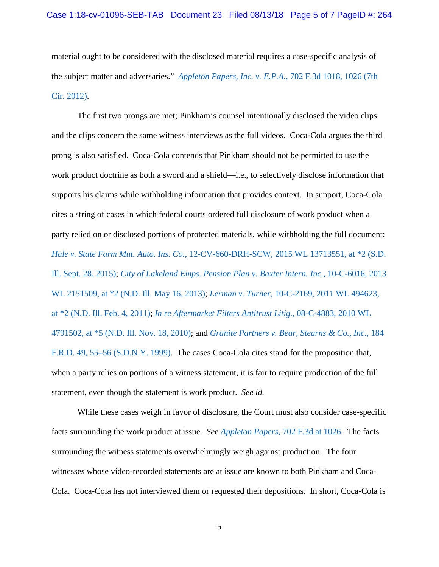material ought to be considered with the disclosed material requires a case-specific analysis of the subject matter and adversaries." *[Appleton Papers, Inc. v. E.P.A.](https://www.westlaw.com/Document/Icbe234894f7a11e2a531ef6793d44951/View/FullText.html?transitionType=Default&contextData=(sc.Default)&VR=3.0&RS=da3.0&fragmentIdentifier=co_pp_sp_506_1026)*, 702 F.3d 1018, 1026 (7th [Cir. 2012\).](https://www.westlaw.com/Document/Icbe234894f7a11e2a531ef6793d44951/View/FullText.html?transitionType=Default&contextData=(sc.Default)&VR=3.0&RS=da3.0&fragmentIdentifier=co_pp_sp_506_1026)

The first two prongs are met; Pinkham's counsel intentionally disclosed the video clips and the clips concern the same witness interviews as the full videos. Coca-Cola argues the third prong is also satisfied. Coca-Cola contends that Pinkham should not be permitted to use the work product doctrine as both a sword and a shield—i.e., to selectively disclose information that supports his claims while withholding information that provides context. In support, Coca-Cola cites a string of cases in which federal courts ordered full disclosure of work product when a party relied on or disclosed portions of protected materials, while withholding the full document: *Hale v. State Farm Mut. Auto. Ins. Co.*[, 12-CV-660-DRH-SCW, 2015 WL 13713551, at \\*2 \(S.D.](https://www.westlaw.com/Document/I5f3683a04f7b11e8ab5389d3771bc525/View/FullText.html?transitionType=Default&contextData=(sc.Default)&VR=3.0&RS=da3.0&fragmentIdentifier=co_pp_sp_999_2)  [Ill. Sept. 28, 2015\);](https://www.westlaw.com/Document/I5f3683a04f7b11e8ab5389d3771bc525/View/FullText.html?transitionType=Default&contextData=(sc.Default)&VR=3.0&RS=da3.0&fragmentIdentifier=co_pp_sp_999_2) *[City of Lakeland Emps. Pension Plan v. Baxter Intern. Inc.](https://www.westlaw.com/Document/Idb1daeb6c13111e2981ea20c4f198a69/View/FullText.html?transitionType=Default&contextData=(sc.Default)&VR=3.0&RS=da3.0&fragmentIdentifier=co_pp_sp_999_2)*, 10-C-6016, 2013 [WL 2151509, at \\*2 \(N.D. Ill. May 16, 2013\);](https://www.westlaw.com/Document/Idb1daeb6c13111e2981ea20c4f198a69/View/FullText.html?transitionType=Default&contextData=(sc.Default)&VR=3.0&RS=da3.0&fragmentIdentifier=co_pp_sp_999_2) *Lerman v. Turner*[, 10-C-2169, 2011 WL 494623,](https://www.westlaw.com/Document/Ic235beae38d011e0aa23bccc834e9520/View/FullText.html?transitionType=Default&contextData=(sc.Default)&VR=3.0&RS=da3.0&fragmentIdentifier=co_pp_sp_999_2)  [at \\*2 \(N.D. Ill. Feb. 4, 2011\);](https://www.westlaw.com/Document/Ic235beae38d011e0aa23bccc834e9520/View/FullText.html?transitionType=Default&contextData=(sc.Default)&VR=3.0&RS=da3.0&fragmentIdentifier=co_pp_sp_999_2) *[In re Aftermarket Filters Antitrust Litig.](https://www.westlaw.com/Document/I8fe26e80f95211dfaa23bccc834e9520/View/FullText.html?transitionType=Default&contextData=(sc.Default)&VR=3.0&RS=da3.0&fragmentIdentifier=co_pp_sp_999_5)*, 08-C-4883, 2010 WL [4791502, at \\*5 \(N.D. Ill. Nov. 18, 2010\);](https://www.westlaw.com/Document/I8fe26e80f95211dfaa23bccc834e9520/View/FullText.html?transitionType=Default&contextData=(sc.Default)&VR=3.0&RS=da3.0&fragmentIdentifier=co_pp_sp_999_5) and *[Granite Partners v. Bear, Stearns & Co., Inc.](https://www.westlaw.com/Document/I32065d5c568411d9bf30d7fdf51b6bd4/View/FullText.html?transitionType=Default&contextData=(sc.Default)&VR=3.0&RS=da3.0&fragmentIdentifier=co_pp_sp_344_55)*, 184 [F.R.D. 49, 55–56 \(S.D.N.Y. 1999\).](https://www.westlaw.com/Document/I32065d5c568411d9bf30d7fdf51b6bd4/View/FullText.html?transitionType=Default&contextData=(sc.Default)&VR=3.0&RS=da3.0&fragmentIdentifier=co_pp_sp_344_55) The cases Coca-Cola cites stand for the proposition that, when a party relies on portions of a witness statement, it is fair to require production of the full statement, even though the statement is work product. *See id.*

While these cases weigh in favor of disclosure, the Court must also consider case-specific facts surrounding the work product at issue. *See Appleton Papers*[, 702 F.3d at 1026.](https://www.westlaw.com/Document/Icbe234894f7a11e2a531ef6793d44951/View/FullText.html?transitionType=Default&contextData=(sc.Default)&VR=3.0&RS=da3.0&fragmentIdentifier=co_pp_sp_506_1026) The facts surrounding the witness statements overwhelmingly weigh against production. The four witnesses whose video-recorded statements are at issue are known to both Pinkham and Coca-Cola. Coca-Cola has not interviewed them or requested their depositions. In short, Coca-Cola is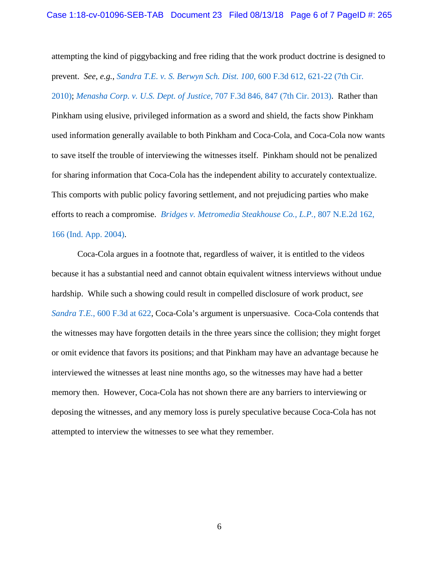attempting the kind of piggybacking and free riding that the work product doctrine is designed to prevent. *See*, *e.g.*, *[Sandra T.E. v. S. Berwyn Sch. Dist. 100](https://www.westlaw.com/Document/Ic9cb94283bd111df8bf6cd8525c41437/View/FullText.html?transitionType=Default&contextData=(sc.Default)&VR=3.0&RS=da3.0&fragmentIdentifier=co_pp_sp_506_621)*, 600 F.3d 612, 621-22 (7th Cir. [2010\);](https://www.westlaw.com/Document/Ic9cb94283bd111df8bf6cd8525c41437/View/FullText.html?transitionType=Default&contextData=(sc.Default)&VR=3.0&RS=da3.0&fragmentIdentifier=co_pp_sp_506_621) *Menasha Corp. v. U.S. Dept. of Justice*[, 707 F.3d 846, 847 \(7th Cir. 2013\).](https://www.westlaw.com/Document/I20bf54ab7b7b11e2bae89fc449e7cd17/View/FullText.html?transitionType=Default&contextData=(sc.Default)&VR=3.0&RS=da3.0&fragmentIdentifier=co_pp_sp_506_847) Rather than Pinkham using elusive, privileged information as a sword and shield, the facts show Pinkham used information generally available to both Pinkham and Coca-Cola, and Coca-Cola now wants to save itself the trouble of interviewing the witnesses itself. Pinkham should not be penalized for sharing information that Coca-Cola has the independent ability to accurately contextualize. This comports with public policy favoring settlement, and not prejudicing parties who make efforts to reach a compromise. *[Bridges v. Metromedia Steakhouse Co., L.P.](https://www.westlaw.com/Document/I3e6f5998d44f11d983e7e9deff98dc6f/View/FullText.html?transitionType=Default&contextData=(sc.Default)&VR=3.0&RS=da3.0&fragmentIdentifier=co_pp_sp_578_166)*, 807 N.E.2d 162,

## [166 \(Ind. App. 2004\).](https://www.westlaw.com/Document/I3e6f5998d44f11d983e7e9deff98dc6f/View/FullText.html?transitionType=Default&contextData=(sc.Default)&VR=3.0&RS=da3.0&fragmentIdentifier=co_pp_sp_578_166)

Coca-Cola argues in a footnote that, regardless of waiver, it is entitled to the videos because it has a substantial need and cannot obtain equivalent witness interviews without undue hardship. While such a showing could result in compelled disclosure of work product, s*ee Sandra T.E.*[, 600 F.3d at](https://www.westlaw.com/Document/Ic9cb94283bd111df8bf6cd8525c41437/View/FullText.html?transitionType=Default&contextData=(sc.Default)&VR=3.0&RS=da3.0&fragmentIdentifier=co_pp_sp_506_622) 622, Coca-Cola's argument is unpersuasive. Coca-Cola contends that the witnesses may have forgotten details in the three years since the collision; they might forget or omit evidence that favors its positions; and that Pinkham may have an advantage because he interviewed the witnesses at least nine months ago, so the witnesses may have had a better memory then. However, Coca-Cola has not shown there are any barriers to interviewing or deposing the witnesses, and any memory loss is purely speculative because Coca-Cola has not attempted to interview the witnesses to see what they remember.

6